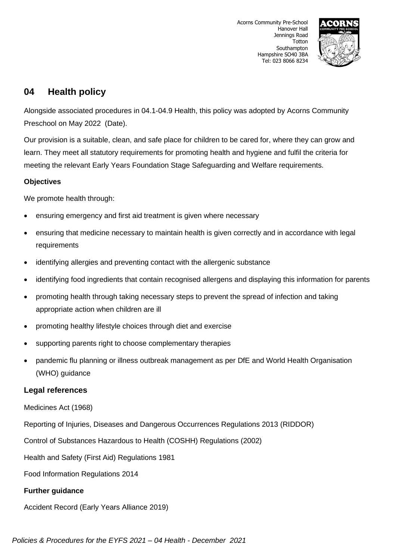

# **04 Health policy**

Alongside associated procedures in 04.1-04.9 Health, this policy was adopted by Acorns Community Preschool on May 2022 (Date).

Our provision is a suitable, clean, and safe place for children to be cared for, where they can grow and learn. They meet all statutory requirements for promoting health and hygiene and fulfil the criteria for meeting the relevant Early Years Foundation Stage Safeguarding and Welfare requirements.

## **Objectives**

We promote health through:

- ensuring emergency and first aid treatment is given where necessary
- ensuring that medicine necessary to maintain health is given correctly and in accordance with legal requirements
- identifying allergies and preventing contact with the allergenic substance
- identifying food ingredients that contain recognised allergens and displaying this information for parents
- promoting health through taking necessary steps to prevent the spread of infection and taking appropriate action when children are ill
- promoting healthy lifestyle choices through diet and exercise
- supporting parents right to choose complementary therapies
- pandemic flu planning or illness outbreak management as per DfE and World Health Organisation (WHO) guidance

## **Legal references**

Medicines Act (1968)

Reporting of Injuries, Diseases and Dangerous Occurrences Regulations 2013 (RIDDOR)

Control of Substances Hazardous to Health (COSHH) Regulations (2002)

Health and Safety (First Aid) Regulations 1981

Food Information Regulations 2014

## **Further guidance**

Accident Record (Early Years Alliance 2019)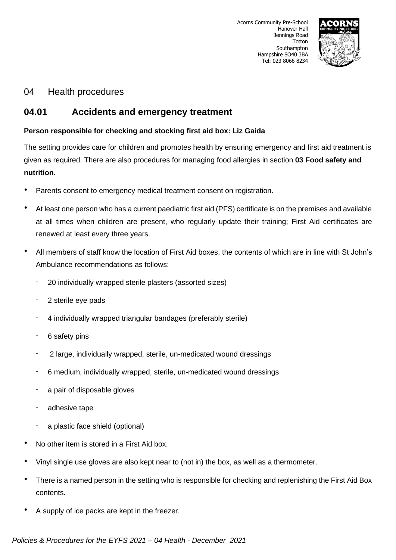

## 04 Health procedures

## **04.01 Accidents and emergency treatment**

## **Person responsible for checking and stocking first aid box: Liz Gaida**

The setting provides care for children and promotes health by ensuring emergency and first aid treatment is given as required. There are also procedures for managing food allergies in section **03 Food safety and nutrition**.

- Parents consent to emergency medical treatment consent on registration.
- At least one person who has a current paediatric first aid (PFS) certificate is on the premises and available at all times when children are present, who regularly update their training; First Aid certificates are renewed at least every three years.
- All members of staff know the location of First Aid boxes, the contents of which are in line with St John's Ambulance recommendations as follows:
	- 20 individually wrapped sterile plasters (assorted sizes)
	- 2 sterile eye pads
	- 4 individually wrapped triangular bandages (preferably sterile)
	- 6 safety pins
	- 2 large, individually wrapped, sterile, un-medicated wound dressings
	- 6 medium, individually wrapped, sterile, un-medicated wound dressings
	- a pair of disposable gloves
	- adhesive tape
	- a plastic face shield (optional)
- No other item is stored in a First Aid box.
- Vinyl single use gloves are also kept near to (not in) the box, as well as a thermometer.
- There is a named person in the setting who is responsible for checking and replenishing the First Aid Box contents.
- A supply of ice packs are kept in the freezer.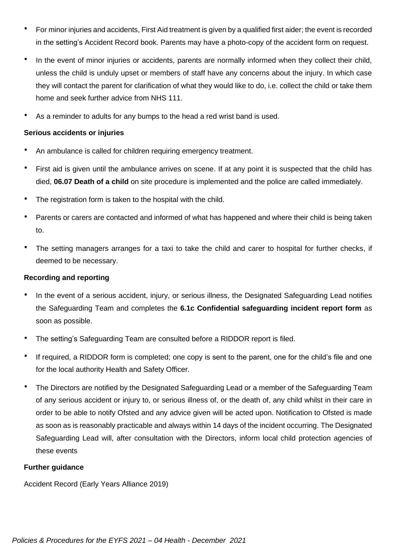- For minor injuries and accidents, First Aid treatment is given by a qualified first aider; the event is recorded in the setting's Accident Record book. Parents may have a photo-copy of the accident form on request.
- In the event of minor injuries or accidents, parents are normally informed when they collect their child, unless the child is unduly upset or members of staff have any concerns about the injury. In which case they will contact the parent for clarification of what they would like to do, i.e. collect the child or take them home and seek further advice from NHS 111.
- As a reminder to adults for any bumps to the head a red wrist band is used.

#### **Serious accidents or injuries**

- An ambulance is called for children requiring emergency treatment.
- First aid is given until the ambulance arrives on scene. If at any point it is suspected that the child has died, **06.07 Death of a child** on site procedure is implemented and the police are called immediately.
- The registration form is taken to the hospital with the child.
- Parents or carers are contacted and informed of what has happened and where their child is being taken to.
- The setting managers arranges for a taxi to take the child and carer to hospital for further checks, if deemed to be necessary.

#### **Recording and reporting**

- In the event of a serious accident, injury, or serious illness, the Designated Safeguarding Lead notifies the Safeguarding Team and completes the **6.1c Confidential safeguarding incident report form** as soon as possible.
- The setting's Safeguarding Team are consulted before a RIDDOR report is filed.
- If required, a RIDDOR form is completed; one copy is sent to the parent, one for the child's file and one for the local authority Health and Safety Officer.
- The Directors are notified by the Designated Safeguarding Lead or a member of the Safeguarding Team of any serious accident or injury to, or serious illness of, or the death of, any child whilst in their care in order to be able to notify Ofsted and any advice given will be acted upon. Notification to Ofsted is made as soon as is reasonably practicable and always within 14 days of the incident occurring. The Designated Safeguarding Lead will, after consultation with the Directors, inform local child protection agencies of these events

#### **Further guidance**

Accident Record (Early Years Alliance 2019)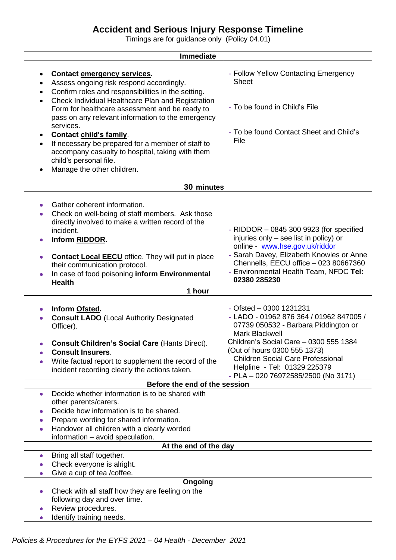# **Accident and Serious Injury Response Timeline**

Timings are for guidance only (Policy 04.01)

| <b>Immediate</b>                                                                                                                                                                                                                                                                                                                                                                                                                                                                                                                                                    |                                                                                                                                                                                                                                                                                             |
|---------------------------------------------------------------------------------------------------------------------------------------------------------------------------------------------------------------------------------------------------------------------------------------------------------------------------------------------------------------------------------------------------------------------------------------------------------------------------------------------------------------------------------------------------------------------|---------------------------------------------------------------------------------------------------------------------------------------------------------------------------------------------------------------------------------------------------------------------------------------------|
| Contact emergency services.<br>Assess ongoing risk respond accordingly.<br>$\bullet$<br>Confirm roles and responsibilities in the setting.<br>$\bullet$<br>Check Individual Healthcare Plan and Registration<br>$\bullet$<br>Form for healthcare assessment and be ready to<br>pass on any relevant information to the emergency<br>services.<br>Contact child's family.<br>$\bullet$<br>If necessary be prepared for a member of staff to<br>$\bullet$<br>accompany casualty to hospital, taking with them<br>child's personal file.<br>Manage the other children. | - Follow Yellow Contacting Emergency<br><b>Sheet</b><br>- To be found in Child's File<br>- To be found Contact Sheet and Child's<br>File                                                                                                                                                    |
| 30 minutes                                                                                                                                                                                                                                                                                                                                                                                                                                                                                                                                                          |                                                                                                                                                                                                                                                                                             |
| Gather coherent information.<br>۰<br>Check on well-being of staff members. Ask those<br>directly involved to make a written record of the<br>incident.<br>Inform RIDDOR.<br><b>Contact Local EECU</b> office. They will put in place<br>their communication protocol.<br>In case of food poisoning inform Environmental<br><b>Health</b>                                                                                                                                                                                                                            | - RIDDOR - 0845 300 9923 (for specified<br>injuries only - see list in policy) or<br>online - www.hse.gov.uk/riddor<br>- Sarah Davey, Elizabeth Knowles or Anne<br>Chennells, EECU office - 023 80667360<br>- Environmental Health Team, NFDC Tel:<br>02380 285230                          |
| 1 hour                                                                                                                                                                                                                                                                                                                                                                                                                                                                                                                                                              |                                                                                                                                                                                                                                                                                             |
| Inform Ofsted.<br>۰<br><b>Consult LADO</b> (Local Authority Designated<br>Officer).<br><b>Consult Children's Social Care (Hants Direct).</b><br><b>Consult Insurers.</b><br>Write factual report to supplement the record of the                                                                                                                                                                                                                                                                                                                                    | - Ofsted $-$ 0300 1231231<br>- LADO - 01962 876 364 / 01962 847005 /<br>07739 050532 - Barbara Piddington or<br><b>Mark Blackwell</b><br>Children's Social Care - 0300 555 1384<br>(Out of hours 0300 555 1373)<br><b>Children Social Care Professional</b><br>Helpline - Tel: 01329 225379 |
| incident recording clearly the actions taken.                                                                                                                                                                                                                                                                                                                                                                                                                                                                                                                       | - PLA - 020 76972585/2500 (No 3171)                                                                                                                                                                                                                                                         |
| Before the end of the session                                                                                                                                                                                                                                                                                                                                                                                                                                                                                                                                       |                                                                                                                                                                                                                                                                                             |
| Decide whether information is to be shared with<br>۰<br>other parents/carers.<br>Decide how information is to be shared.<br>Prepare wording for shared information.<br>Handover all children with a clearly worded<br>information - avoid speculation.                                                                                                                                                                                                                                                                                                              |                                                                                                                                                                                                                                                                                             |
| At the end of the day                                                                                                                                                                                                                                                                                                                                                                                                                                                                                                                                               |                                                                                                                                                                                                                                                                                             |
| Bring all staff together.<br>$\bullet$<br>Check everyone is alright.<br>Give a cup of tea /coffee.                                                                                                                                                                                                                                                                                                                                                                                                                                                                  |                                                                                                                                                                                                                                                                                             |
| Ongoing                                                                                                                                                                                                                                                                                                                                                                                                                                                                                                                                                             |                                                                                                                                                                                                                                                                                             |
| Check with all staff how they are feeling on the<br>$\bullet$<br>following day and over time.<br>Review procedures.<br>Identify training needs.                                                                                                                                                                                                                                                                                                                                                                                                                     |                                                                                                                                                                                                                                                                                             |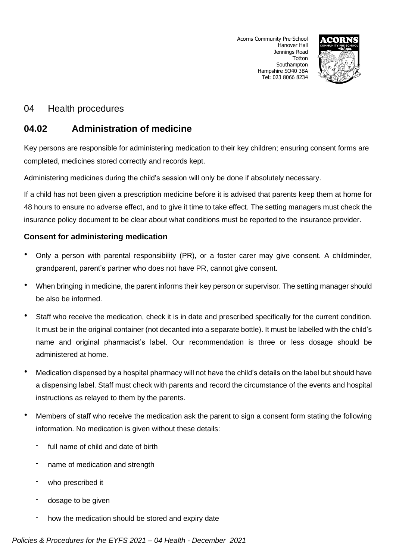

# 04 Health procedures

# **04.02 Administration of medicine**

Key persons are responsible for administering medication to their key children; ensuring consent forms are completed, medicines stored correctly and records kept.

Administering medicines during the child's session will only be done if absolutely necessary.

If a child has not been given a prescription medicine before it is advised that parents keep them at home for 48 hours to ensure no adverse effect, and to give it time to take effect. The setting managers must check the insurance policy document to be clear about what conditions must be reported to the insurance provider.

## **Consent for administering medication**

- Only a person with parental responsibility (PR), or a foster carer may give consent. A childminder, grandparent, parent's partner who does not have PR, cannot give consent.
- When bringing in medicine, the parent informs their key person or supervisor. The setting manager should be also be informed.
- Staff who receive the medication, check it is in date and prescribed specifically for the current condition. It must be in the original container (not decanted into a separate bottle). It must be labelled with the child's name and original pharmacist's label. Our recommendation is three or less dosage should be administered at home.
- Medication dispensed by a hospital pharmacy will not have the child's details on the label but should have a dispensing label. Staff must check with parents and record the circumstance of the events and hospital instructions as relayed to them by the parents.
- Members of staff who receive the medication ask the parent to sign a consent form stating the following information. No medication is given without these details:
	- full name of child and date of birth
	- name of medication and strength
	- who prescribed it
	- dosage to be given
	- how the medication should be stored and expiry date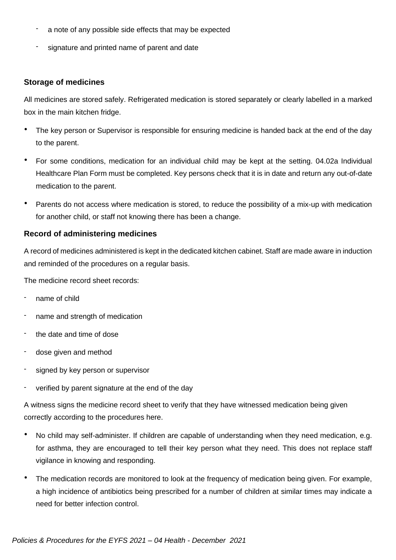- a note of any possible side effects that may be expected
- signature and printed name of parent and date

### **Storage of medicines**

All medicines are stored safely. Refrigerated medication is stored separately or clearly labelled in a marked box in the main kitchen fridge.

- The key person or Supervisor is responsible for ensuring medicine is handed back at the end of the day to the parent.
- For some conditions, medication for an individual child may be kept at the setting. 04.02a Individual Healthcare Plan Form must be completed. Key persons check that it is in date and return any out-of-date medication to the parent.
- Parents do not access where medication is stored, to reduce the possibility of a mix-up with medication for another child, or staff not knowing there has been a change.

### **Record of administering medicines**

A record of medicines administered is kept in the dedicated kitchen cabinet. Staff are made aware in induction and reminded of the procedures on a regular basis.

The medicine record sheet records:

- name of child
- name and strength of medication
- the date and time of dose
- dose given and method
- signed by key person or supervisor
- verified by parent signature at the end of the day

A witness signs the medicine record sheet to verify that they have witnessed medication being given correctly according to the procedures here.

- No child may self-administer. If children are capable of understanding when they need medication, e.g. for asthma, they are encouraged to tell their key person what they need. This does not replace staff vigilance in knowing and responding.
- The medication records are monitored to look at the frequency of medication being given. For example, a high incidence of antibiotics being prescribed for a number of children at similar times may indicate a need for better infection control.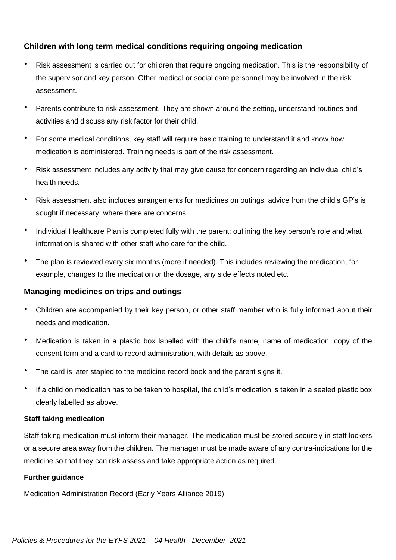## **Children with long term medical conditions requiring ongoing medication**

- Risk assessment is carried out for children that require ongoing medication. This is the responsibility of the supervisor and key person. Other medical or social care personnel may be involved in the risk assessment.
- Parents contribute to risk assessment. They are shown around the setting, understand routines and activities and discuss any risk factor for their child.
- For some medical conditions, key staff will require basic training to understand it and know how medication is administered. Training needs is part of the risk assessment.
- Risk assessment includes any activity that may give cause for concern regarding an individual child's health needs.
- Risk assessment also includes arrangements for medicines on outings; advice from the child's GP's is sought if necessary, where there are concerns.
- Individual Healthcare Plan is completed fully with the parent; outlining the key person's role and what information is shared with other staff who care for the child.
- The plan is reviewed every six months (more if needed). This includes reviewing the medication, for example, changes to the medication or the dosage, any side effects noted etc.

## **Managing medicines on trips and outings**

- Children are accompanied by their key person, or other staff member who is fully informed about their needs and medication.
- Medication is taken in a plastic box labelled with the child's name, name of medication, copy of the consent form and a card to record administration, with details as above.
- The card is later stapled to the medicine record book and the parent signs it.
- If a child on medication has to be taken to hospital, the child's medication is taken in a sealed plastic box clearly labelled as above.

#### **Staff taking medication**

Staff taking medication must inform their manager. The medication must be stored securely in staff lockers or a secure area away from the children. The manager must be made aware of any contra-indications for the medicine so that they can risk assess and take appropriate action as required.

#### **Further guidance**

Medication Administration Record (Early Years Alliance 2019)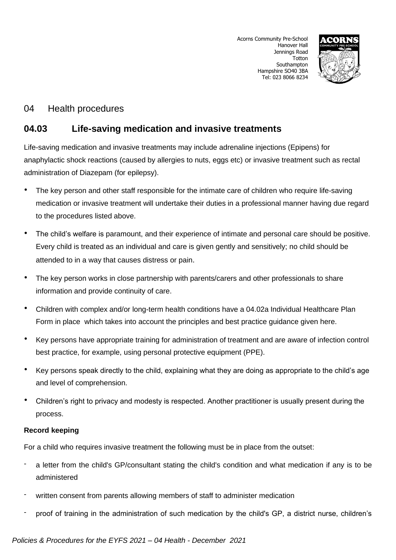

# 04 Health procedures

# **04.03 Life-saving medication and invasive treatments**

Life-saving medication and invasive treatments may include adrenaline injections (Epipens) for anaphylactic shock reactions (caused by allergies to nuts, eggs etc) or invasive treatment such as rectal administration of Diazepam (for epilepsy).

- The key person and other staff responsible for the intimate care of children who require life-saving medication or invasive treatment will undertake their duties in a professional manner having due regard to the procedures listed above.
- The child's welfare is paramount, and their experience of intimate and personal care should be positive. Every child is treated as an individual and care is given gently and sensitively; no child should be attended to in a way that causes distress or pain.
- The key person works in close partnership with parents/carers and other professionals to share information and provide continuity of care.
- Children with complex and/or long-term health conditions have a 04.02a Individual Healthcare Plan Form in place which takes into account the principles and best practice guidance given here.
- Key persons have appropriate training for administration of treatment and are aware of infection control best practice, for example, using personal protective equipment (PPE).
- Key persons speak directly to the child, explaining what they are doing as appropriate to the child's age and level of comprehension.
- Children's right to privacy and modesty is respected. Another practitioner is usually present during the process.

## **Record keeping**

For a child who requires invasive treatment the following must be in place from the outset:

- a letter from the child's GP/consultant stating the child's condition and what medication if any is to be administered
- written consent from parents allowing members of staff to administer medication
- proof of training in the administration of such medication by the child's GP, a district nurse, children's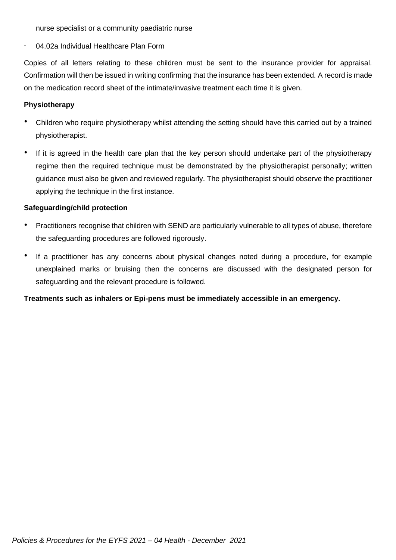nurse specialist or a community paediatric nurse

04.02a Individual Healthcare Plan Form

Copies of all letters relating to these children must be sent to the insurance provider for appraisal. Confirmation will then be issued in writing confirming that the insurance has been extended. A record is made on the medication record sheet of the intimate/invasive treatment each time it is given.

#### **Physiotherapy**

- Children who require physiotherapy whilst attending the setting should have this carried out by a trained physiotherapist.
- If it is agreed in the health care plan that the key person should undertake part of the physiotherapy regime then the required technique must be demonstrated by the physiotherapist personally; written guidance must also be given and reviewed regularly. The physiotherapist should observe the practitioner applying the technique in the first instance.

#### **Safeguarding/child protection**

- Practitioners recognise that children with SEND are particularly vulnerable to all types of abuse, therefore the safeguarding procedures are followed rigorously.
- If a practitioner has any concerns about physical changes noted during a procedure, for example unexplained marks or bruising then the concerns are discussed with the designated person for safeguarding and the relevant procedure is followed.

**Treatments such as inhalers or Epi-pens must be immediately accessible in an emergency.**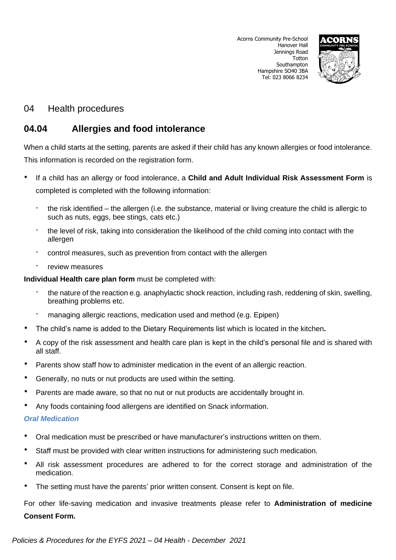

# 04 Health procedures

# **04.04 Allergies and food intolerance**

When a child starts at the setting, parents are asked if their child has any known allergies or food intolerance. This information is recorded on the registration form.

- If a child has an allergy or food intolerance, a **Child and Adult Individual Risk Assessment Form** is completed is completed with the following information:
	- the risk identified the allergen (i.e. the substance, material or living creature the child is allergic to such as nuts, eggs, bee stings, cats etc.)
	- the level of risk, taking into consideration the likelihood of the child coming into contact with the allergen
	- control measures, such as prevention from contact with the allergen
	- review measures

**Individual Health care plan form** must be completed with:

- the nature of the reaction e.g. anaphylactic shock reaction, including rash, reddening of skin, swelling, breathing problems etc.
- managing allergic reactions, medication used and method (e.g. Epipen)
- The child's name is added to the Dietary Requirements list which is located in the kitchen**.**
- A copy of the risk assessment and health care plan is kept in the child's personal file and is shared with all staff.
- Parents show staff how to administer medication in the event of an allergic reaction.
- Generally, no nuts or nut products are used within the setting.
- Parents are made aware, so that no nut or nut products are accidentally brought in.
- Any foods containing food allergens are identified on Snack information.

#### *Oral Medication*

- Oral medication must be prescribed or have manufacturer's instructions written on them.
- Staff must be provided with clear written instructions for administering such medication.
- All risk assessment procedures are adhered to for the correct storage and administration of the medication.
- The setting must have the parents' prior written consent. Consent is kept on file.

For other life-saving medication and invasive treatments please refer to **Administration of medicine Consent Form.**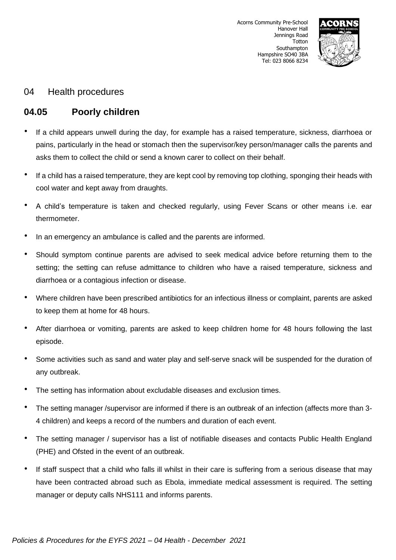

## 04 Health procedures

# **04.05 Poorly children**

- If a child appears unwell during the day, for example has a raised temperature, sickness, diarrhoea or pains, particularly in the head or stomach then the supervisor/key person/manager calls the parents and asks them to collect the child or send a known carer to collect on their behalf.
- If a child has a raised temperature, they are kept cool by removing top clothing, sponging their heads with cool water and kept away from draughts.
- A child's temperature is taken and checked regularly, using Fever Scans or other means i.e. ear thermometer.
- In an emergency an ambulance is called and the parents are informed.
- Should symptom continue parents are advised to seek medical advice before returning them to the setting; the setting can refuse admittance to children who have a raised temperature, sickness and diarrhoea or a contagious infection or disease.
- Where children have been prescribed antibiotics for an infectious illness or complaint, parents are asked to keep them at home for 48 hours.
- After diarrhoea or vomiting, parents are asked to keep children home for 48 hours following the last episode.
- Some activities such as sand and water play and self-serve snack will be suspended for the duration of any outbreak.
- The setting has information about excludable diseases and exclusion times.
- The setting manager /supervisor are informed if there is an outbreak of an infection (affects more than 3- 4 children) and keeps a record of the numbers and duration of each event.
- The setting manager / supervisor has a list of notifiable diseases and contacts Public Health England (PHE) and Ofsted in the event of an outbreak.
- If staff suspect that a child who falls ill whilst in their care is suffering from a serious disease that may have been contracted abroad such as Ebola, immediate medical assessment is required. The setting manager or deputy calls NHS111 and informs parents.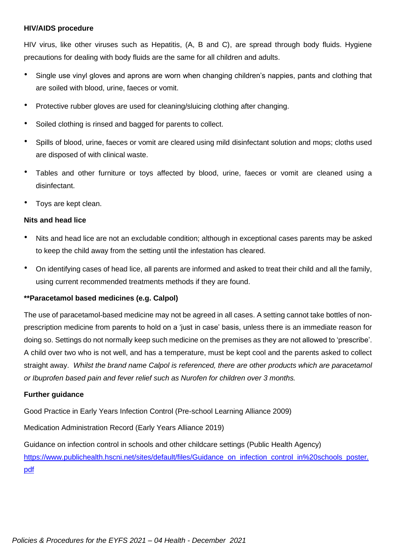#### **HIV/AIDS procedure**

HIV virus, like other viruses such as Hepatitis, (A, B and C), are spread through body fluids. Hygiene precautions for dealing with body fluids are the same for all children and adults.

- Single use vinyl gloves and aprons are worn when changing children's nappies, pants and clothing that are soiled with blood, urine, faeces or vomit.
- Protective rubber gloves are used for cleaning/sluicing clothing after changing.
- Soiled clothing is rinsed and bagged for parents to collect.
- Spills of blood, urine, faeces or vomit are cleared using mild disinfectant solution and mops; cloths used are disposed of with clinical waste.
- Tables and other furniture or toys affected by blood, urine, faeces or vomit are cleaned using a disinfectant.
- Toys are kept clean.

#### **Nits and head lice**

- Nits and head lice are not an excludable condition; although in exceptional cases parents may be asked to keep the child away from the setting until the infestation has cleared.
- On identifying cases of head lice, all parents are informed and asked to treat their child and all the family, using current recommended treatments methods if they are found.

#### **\*\*Paracetamol based medicines (e.g. Calpol)**

The use of paracetamol-based medicine may not be agreed in all cases. A setting cannot take bottles of nonprescription medicine from parents to hold on a 'just in case' basis, unless there is an immediate reason for doing so. Settings do not normally keep such medicine on the premises as they are not allowed to 'prescribe'. A child over two who is not well, and has a temperature, must be kept cool and the parents asked to collect straight away. *Whilst the brand name Calpol is referenced, there are other products which are paracetamol or Ibuprofen based pain and fever relief such as Nurofen for children over 3 months.* 

#### **Further guidance**

Good Practice in Early Years Infection Control (Pre-school Learning Alliance 2009)

Medication Administration Record (Early Years Alliance 2019)

Guidance on infection control in schools and other childcare settings (Public Health Agency) [https://www.publichealth.hscni.net/sites/default/files/Guidance\\_on\\_infection\\_control\\_in%20schools\\_poster.](https://www.publichealth.hscni.net/sites/default/files/Guidance_on_infection_control_in%20schools_poster.pdf) [pdf](https://www.publichealth.hscni.net/sites/default/files/Guidance_on_infection_control_in%20schools_poster.pdf)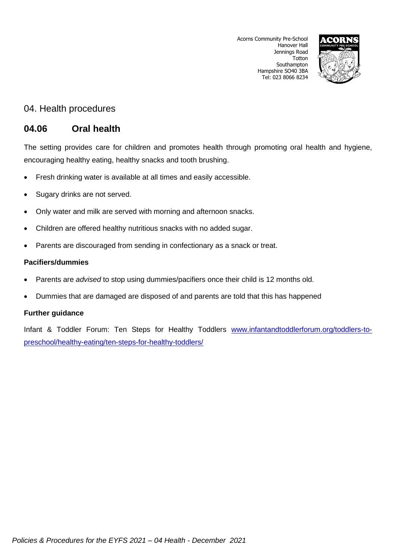

## 04. Health procedures

## **04.06 Oral health**

The setting provides care for children and promotes health through promoting oral health and hygiene, encouraging healthy eating, healthy snacks and tooth brushing.

- Fresh drinking water is available at all times and easily accessible.
- Sugary drinks are not served.
- Only water and milk are served with morning and afternoon snacks.
- Children are offered healthy nutritious snacks with no added sugar.
- Parents are discouraged from sending in confectionary as a snack or treat.

## **Pacifiers/dummies**

- Parents are *advised* to stop using dummies/pacifiers once their child is 12 months old.
- Dummies that are damaged are disposed of and parents are told that this has happened

## **Further guidance**

Infant & Toddler Forum: Ten Steps for Healthy Toddlers [www.infantandtoddlerforum.org/toddlers-to](http://www.infantandtoddlerforum.org/toddlers-to-preschool/healthy-eating/ten-steps-for-healthy-toddlers/)[preschool/healthy-eating/ten-steps-for-healthy-toddlers/](http://www.infantandtoddlerforum.org/toddlers-to-preschool/healthy-eating/ten-steps-for-healthy-toddlers/)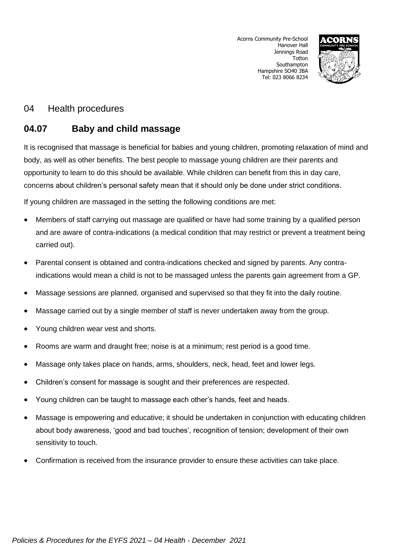

## 04 Health procedures

# **04.07 Baby and child massage**

It is recognised that massage is beneficial for babies and young children, promoting relaxation of mind and body, as well as other benefits. The best people to massage young children are their parents and opportunity to learn to do this should be available. While children can benefit from this in day care, concerns about children's personal safety mean that it should only be done under strict conditions.

If young children are massaged in the setting the following conditions are met:

- Members of staff carrying out massage are qualified or have had some training by a qualified person and are aware of contra-indications (a medical condition that may restrict or prevent a treatment being carried out).
- Parental consent is obtained and contra-indications checked and signed by parents. Any contraindications would mean a child is not to be massaged unless the parents gain agreement from a GP.
- Massage sessions are planned, organised and supervised so that they fit into the daily routine.
- Massage carried out by a single member of staff is never undertaken away from the group.
- Young children wear vest and shorts.
- Rooms are warm and draught free; noise is at a minimum; rest period is a good time.
- Massage only takes place on hands, arms, shoulders, neck, head, feet and lower legs.
- Children's consent for massage is sought and their preferences are respected.
- Young children can be taught to massage each other's hands, feet and heads.
- Massage is empowering and educative; it should be undertaken in conjunction with educating children about body awareness, 'good and bad touches', recognition of tension; development of their own sensitivity to touch.
- Confirmation is received from the insurance provider to ensure these activities can take place.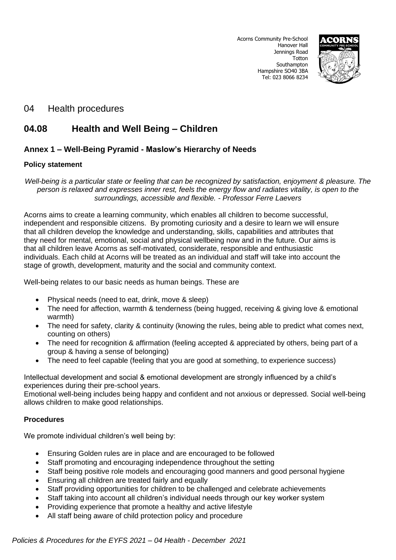

## 04 Health procedures

# **04.08 Health and Well Being – Children**

## **Annex 1 – Well-Being Pyramid - Maslow's Hierarchy of Needs**

### **Policy statement**

*Well-being is a particular state or feeling that can be recognized by satisfaction, enjoyment & pleasure. The person is relaxed and expresses inner rest, feels the energy flow and radiates vitality, is open to the surroundings, accessible and flexible. - Professor Ferre Laevers*

Acorns aims to create a learning community, which enables all children to become successful, independent and responsible citizens. By promoting curiosity and a desire to learn we will ensure that all children develop the knowledge and understanding, skills, capabilities and attributes that they need for mental, emotional, social and physical wellbeing now and in the future. Our aims is that all children leave Acorns as self-motivated, considerate, responsible and enthusiastic individuals. Each child at Acorns will be treated as an individual and staff will take into account the stage of growth, development, maturity and the social and community context.

Well-being relates to our basic needs as human beings. These are

- Physical needs (need to eat, drink, move & sleep)
- The need for affection, warmth & tenderness (being hugged, receiving & giving love & emotional warmth)
- The need for safety, clarity & continuity (knowing the rules, being able to predict what comes next, counting on others)
- The need for recognition & affirmation (feeling accepted & appreciated by others, being part of a group & having a sense of belonging)
- The need to feel capable (feeling that you are good at something, to experience success)

Intellectual development and social & emotional development are strongly influenced by a child's experiences during their pre-school years.

Emotional well-being includes being happy and confident and not anxious or depressed. Social well-being allows children to make good relationships.

## **Procedures**

We promote individual children's well being by:

- Ensuring Golden rules are in place and are encouraged to be followed
- Staff promoting and encouraging independence throughout the setting
- Staff being positive role models and encouraging good manners and good personal hygiene
- Ensuring all children are treated fairly and equally
- Staff providing opportunities for children to be challenged and celebrate achievements
- Staff taking into account all children's individual needs through our key worker system
- Providing experience that promote a healthy and active lifestyle
- All staff being aware of child protection policy and procedure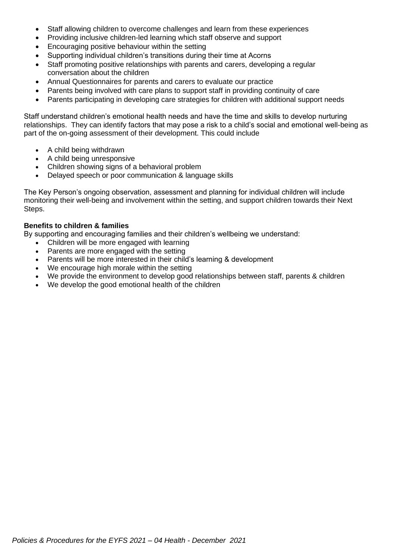- Staff allowing children to overcome challenges and learn from these experiences
- Providing inclusive children-led learning which staff observe and support
- Encouraging positive behaviour within the setting
- Supporting individual children's transitions during their time at Acorns
- Staff promoting positive relationships with parents and carers, developing a regular conversation about the children
- Annual Questionnaires for parents and carers to evaluate our practice
- Parents being involved with care plans to support staff in providing continuity of care
- Parents participating in developing care strategies for children with additional support needs

Staff understand children's emotional health needs and have the time and skills to develop nurturing relationships. They can identify factors that may pose a risk to a child's social and emotional well-being as part of the on-going assessment of their development. This could include

- A child being withdrawn
- A child being unresponsive
- Children showing signs of a behavioral problem
- Delayed speech or poor communication & language skills

The Key Person's ongoing observation, assessment and planning for individual children will include monitoring their well-being and involvement within the setting, and support children towards their Next Steps.

#### **Benefits to children & families**

By supporting and encouraging families and their children's wellbeing we understand:

- Children will be more engaged with learning
- Parents are more engaged with the setting
- Parents will be more interested in their child's learning & development
- We encourage high morale within the setting
- We provide the environment to develop good relationships between staff, parents & children
- We develop the good emotional health of the children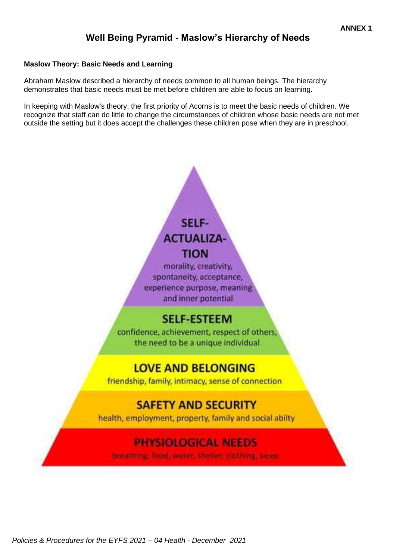# **Well Being Pyramid - Maslow's Hierarchy of Needs**

## **Maslow Theory: Basic Needs and Learning**

Abraham Maslow described a hierarchy of needs common to all human beings. The hierarchy demonstrates that basic needs must be met before children are able to focus on learning.

In keeping with Maslow's theory, the first priority of Acorns is to meet the basic needs of children. We recognize that staff can do little to change the circumstances of children whose basic needs are not met outside the setting but it does accept the challenges these children pose when they are in preschool.

# SELF-**ACTUALIZA-TION**

morality, creativity, spontaneity, acceptance, experience purpose, meaning and inner potential

# **SELF-ESTEEM**

confidence, achievement, respect of others, the need to be a unique individual

# **LOVE AND BELONGING**

friendship, family, intimacy, sense of connection

# **SAFETY AND SECURITY**

health, employment, property, family and social abilty

# **PHYSIOLOGICAL NEEDS**

breathing food water shelter cipthing, sieen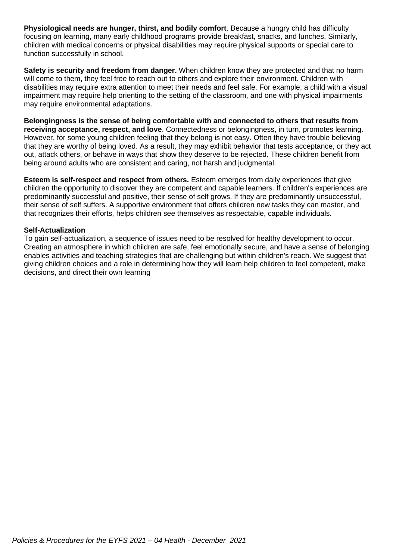**Physiological needs are hunger, thirst, and bodily comfort**. Because a hungry child has difficulty focusing on learning, many early childhood programs provide breakfast, snacks, and lunches. Similarly, children with medical concerns or physical disabilities may require physical supports or special care to function successfully in school.

**Safety is security and freedom from danger.** When children know they are protected and that no harm will come to them, they feel free to reach out to others and explore their environment. Children with disabilities may require extra attention to meet their needs and feel safe. For example, a child with a visual impairment may require help orienting to the setting of the classroom, and one with physical impairments may require environmental adaptations.

**Belongingness is the sense of being comfortable with and connected to others that results from receiving acceptance, respect, and love**. Connectedness or belongingness, in turn, promotes learning. However, for some young children feeling that they belong is not easy. Often they have trouble believing that they are worthy of being loved. As a result, they may exhibit behavior that tests acceptance, or they act out, attack others, or behave in ways that show they deserve to be rejected. These children benefit from being around adults who are consistent and caring, not harsh and judgmental.

**Esteem is self-respect and respect from others.** Esteem emerges from daily experiences that give children the opportunity to discover they are competent and capable learners. If children's experiences are predominantly successful and positive, their sense of self grows. If they are predominantly unsuccessful, their sense of self suffers. A supportive environment that offers children new tasks they can master, and that recognizes their efforts, helps children see themselves as respectable, capable individuals.

#### **Self-Actualization**

To gain self-actualization, a sequence of issues need to be resolved for healthy development to occur. Creating an atmosphere in which children are safe, feel emotionally secure, and have a sense of belonging enables activities and teaching strategies that are challenging but within children's reach. We suggest that giving children choices and a role in determining how they will learn help children to feel competent, make decisions, and direct their own learning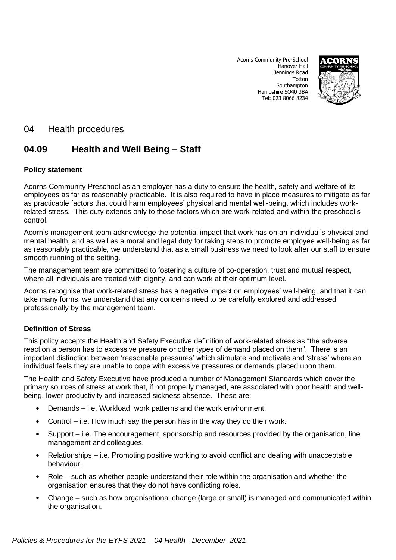

## 04 Health procedures

# **04.09 Health and Well Being – Staff**

## **Policy statement**

Acorns Community Preschool as an employer has a duty to ensure the health, safety and welfare of its employees as far as reasonably practicable. It is also required to have in place measures to mitigate as far as practicable factors that could harm employees' physical and mental well-being, which includes workrelated stress. This duty extends only to those factors which are work-related and within the preschool's control.

Acorn's management team acknowledge the potential impact that work has on an individual's physical and mental health, and as well as a moral and legal duty for taking steps to promote employee well-being as far as reasonably practicable, we understand that as a small business we need to look after our staff to ensure smooth running of the setting.

The management team are committed to fostering a culture of co-operation, trust and mutual respect, where all individuals are treated with dignity, and can work at their optimum level.

Acorns recognise that work-related stress has a negative impact on employees' well-being, and that it can take many forms, we understand that any concerns need to be carefully explored and addressed professionally by the management team.

#### **Definition of Stress**

This policy accepts the Health and Safety Executive definition of work-related stress as "the adverse reaction a person has to excessive pressure or other types of demand placed on them". There is an important distinction between 'reasonable pressures' which stimulate and motivate and 'stress' where an individual feels they are unable to cope with excessive pressures or demands placed upon them.

The Health and Safety Executive have produced a number of Management Standards which cover the primary sources of stress at work that, if not properly managed, are associated with poor health and wellbeing, lower productivity and increased sickness absence. These are:

- Demands i.e. Workload, work patterns and the work environment.
- Control i.e. How much say the person has in the way they do their work.
- Support i.e. The encouragement, sponsorship and resources provided by the organisation, line management and colleagues.
- Relationships i.e. Promoting positive working to avoid conflict and dealing with unacceptable behaviour.
- Role such as whether people understand their role within the organisation and whether the organisation ensures that they do not have conflicting roles.
- Change such as how organisational change (large or small) is managed and communicated within the organisation.